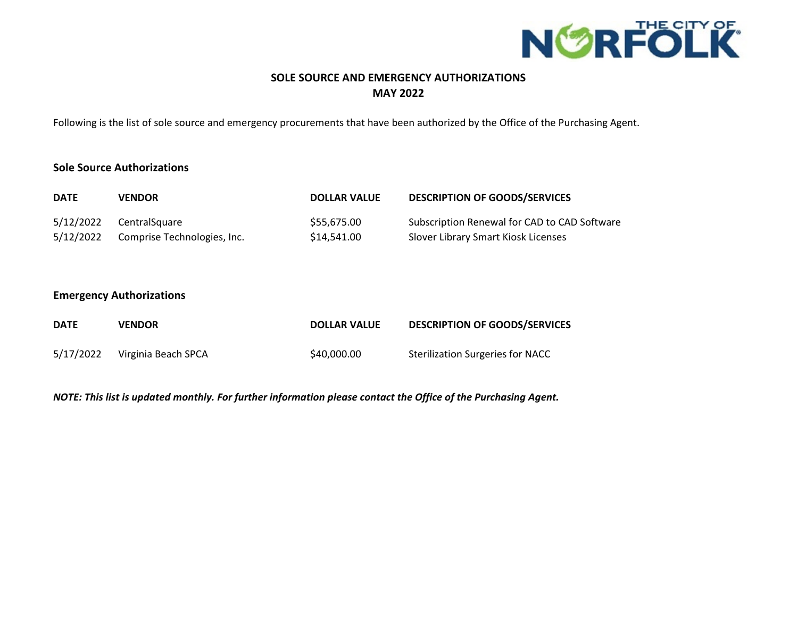

## **SOLE SOURCE AND EMERGENCY AUTHORIZATIONS MAY 2022**

Following is the list of sole source and emergency procurements that have been authorized by the Office of the Purchasing Agent.

### **Sole Source Authorizations**

| <b>DATE</b> | <b>VENDOR</b>               | <b>DOLLAR VALUE</b> | <b>DESCRIPTION OF GOODS/SERVICES</b>         |
|-------------|-----------------------------|---------------------|----------------------------------------------|
| 5/12/2022   | CentralSquare               | \$55.675.00         | Subscription Renewal for CAD to CAD Software |
| 5/12/2022   | Comprise Technologies, Inc. | \$14,541.00         | Slover Library Smart Kiosk Licenses          |

#### **Emergency Authorizations**

| <b>DATE</b> | <b>VENDOR</b>       | <b>DOLLAR VALUE</b> | <b>DESCRIPTION OF GOODS/SERVICES</b>    |
|-------------|---------------------|---------------------|-----------------------------------------|
| 5/17/2022   | Virginia Beach SPCA | \$40,000,00         | <b>Sterilization Surgeries for NACC</b> |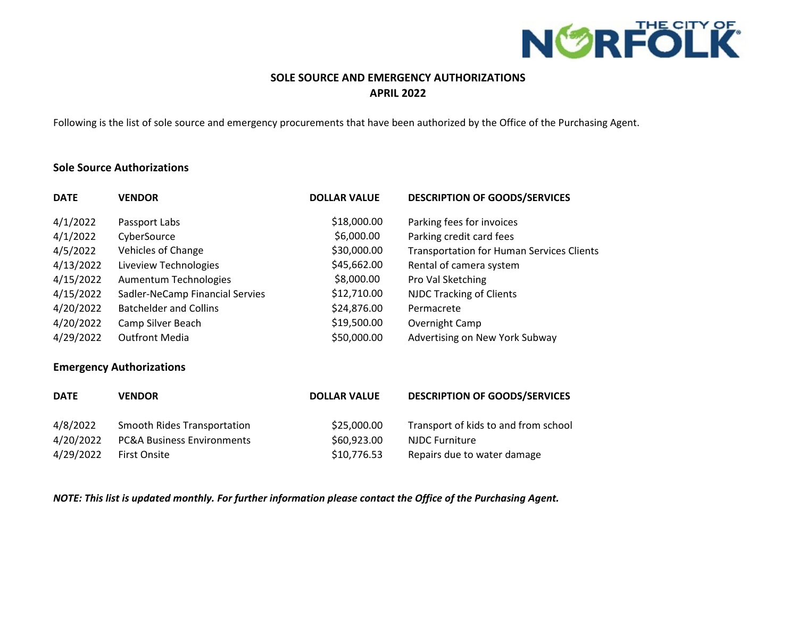

# **SOLE SOURCE AND EMERGENCY AUTHORIZATIONS APRIL 2022**

Following is the list of sole source and emergency procurements that have been authorized by the Office of the Purchasing Agent.

#### **Sole Source Authorizations**

| <b>VENDOR</b>                   | <b>DOLLAR VALUE</b> | <b>DESCRIPTION OF GOODS/SERVICES</b>             |
|---------------------------------|---------------------|--------------------------------------------------|
| Passport Labs                   | \$18,000.00         | Parking fees for invoices                        |
| CyberSource                     | \$6,000.00          | Parking credit card fees                         |
| Vehicles of Change              | \$30,000.00         | <b>Transportation for Human Services Clients</b> |
| Liveview Technologies           | \$45,662.00         | Rental of camera system                          |
| Aumentum Technologies           | \$8,000.00          | Pro Val Sketching                                |
| Sadler-NeCamp Financial Servies | \$12,710.00         | <b>NJDC Tracking of Clients</b>                  |
| <b>Batchelder and Collins</b>   | \$24,876.00         | Permacrete                                       |
| Camp Silver Beach               | \$19,500.00         | Overnight Camp                                   |
| <b>Outfront Media</b>           | \$50,000.00         | Advertising on New York Subway                   |
|                                 |                     |                                                  |

#### **Emergency Authorizations**

| <b>DATE</b> | <b>VENDOR</b>                         | <b>DOLLAR VALUE</b> | <b>DESCRIPTION OF GOODS/SERVICES</b> |
|-------------|---------------------------------------|---------------------|--------------------------------------|
| 4/8/2022    | Smooth Rides Transportation           | \$25,000.00         | Transport of kids to and from school |
| 4/20/2022   | <b>PC&amp;A Business Environments</b> | \$60,923.00         | <b>NJDC Furniture</b>                |
| 4/29/2022   | <b>First Onsite</b>                   | \$10,776.53         | Repairs due to water damage          |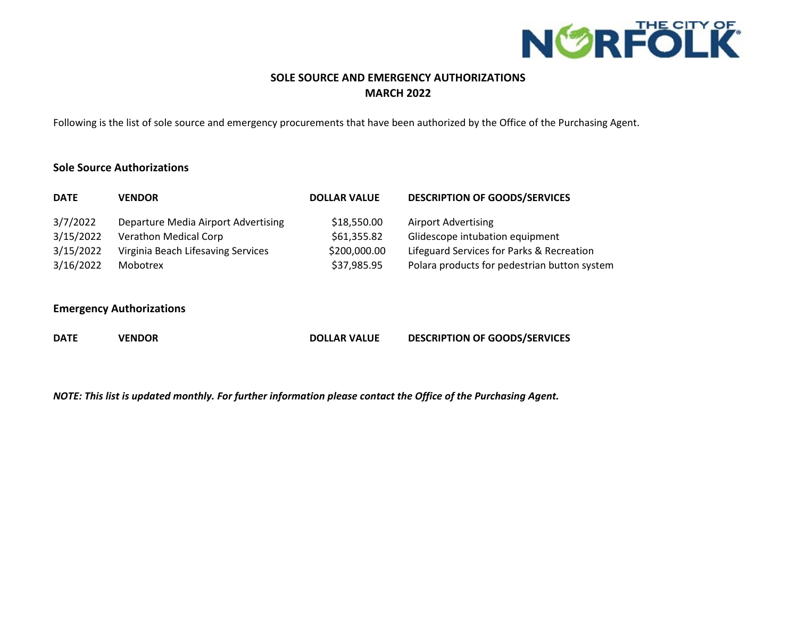

# **SOLE SOURCE AND EMERGENCY AUTHORIZATIONS MARCH 2022**

Following is the list of sole source and emergency procurements that have been authorized by the Office of the Purchasing Agent.

### **Sole Source Authorizations**

| <b>DATE</b> | <b>VENDOR</b>                       | <b>DOLLAR VALUE</b> | <b>DESCRIPTION OF GOODS/SERVICES</b>         |
|-------------|-------------------------------------|---------------------|----------------------------------------------|
| 3/7/2022    | Departure Media Airport Advertising | \$18,550.00         | <b>Airport Advertising</b>                   |
| 3/15/2022   | <b>Verathon Medical Corp</b>        | \$61,355.82         | Glidescope intubation equipment              |
| 3/15/2022   | Virginia Beach Lifesaving Services  | \$200,000.00        | Lifeguard Services for Parks & Recreation    |
| 3/16/2022   | Mobotrex                            | \$37,985.95         | Polara products for pedestrian button system |

### **Emergency Authorizations**

| <b>DATE</b> | <b>VENDOR</b> | <b>DOLLAR VALUE</b> | <b>DESCRIPTION OF GOODS/SERVICES</b> |
|-------------|---------------|---------------------|--------------------------------------|
|             |               |                     |                                      |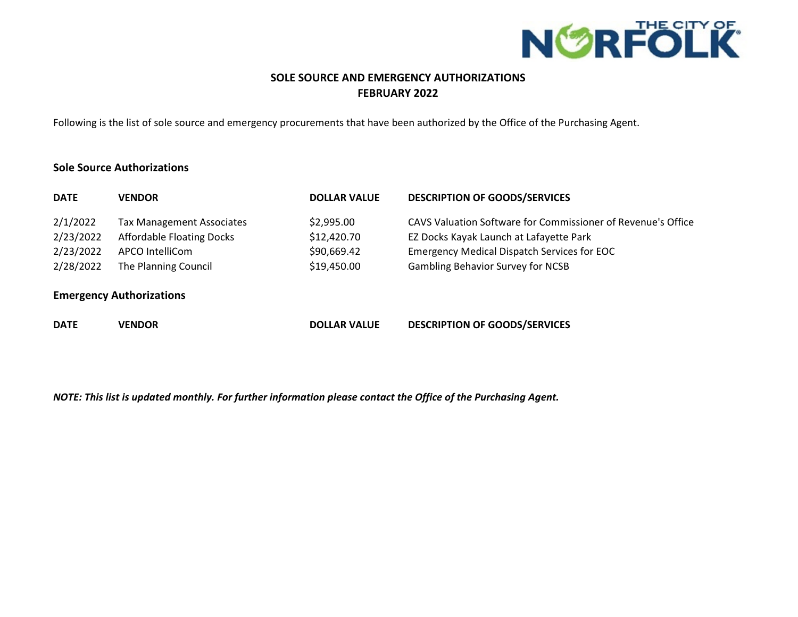

# **SOLE SOURCE AND EMERGENCY AUTHORIZATIONS FEBRUARY 2022**

Following is the list of sole source and emergency procurements that have been authorized by the Office of the Purchasing Agent.

### **Sole Source Authorizations**

| <b>DATE</b>                     | <b>VENDOR</b>                                                        | <b>DOLLAR VALUE</b>       | <b>DESCRIPTION OF GOODS/SERVICES</b>                                                                    |  |
|---------------------------------|----------------------------------------------------------------------|---------------------------|---------------------------------------------------------------------------------------------------------|--|
| 2/1/2022<br>2/23/2022           | <b>Tax Management Associates</b><br><b>Affordable Floating Docks</b> | \$2,995.00<br>\$12,420.70 | CAVS Valuation Software for Commissioner of Revenue's Office<br>EZ Docks Kayak Launch at Lafayette Park |  |
| 2/23/2022                       | APCO IntelliCom                                                      | \$90,669.42               | <b>Emergency Medical Dispatch Services for EOC</b>                                                      |  |
| 2/28/2022                       | The Planning Council                                                 | \$19,450.00               | <b>Gambling Behavior Survey for NCSB</b>                                                                |  |
| <b>Emergency Authorizations</b> |                                                                      |                           |                                                                                                         |  |
| <b>DATE</b>                     | <b>VENDOR</b>                                                        | <b>DOLLAR VALUE</b>       | <b>DESCRIPTION OF GOODS/SERVICES</b>                                                                    |  |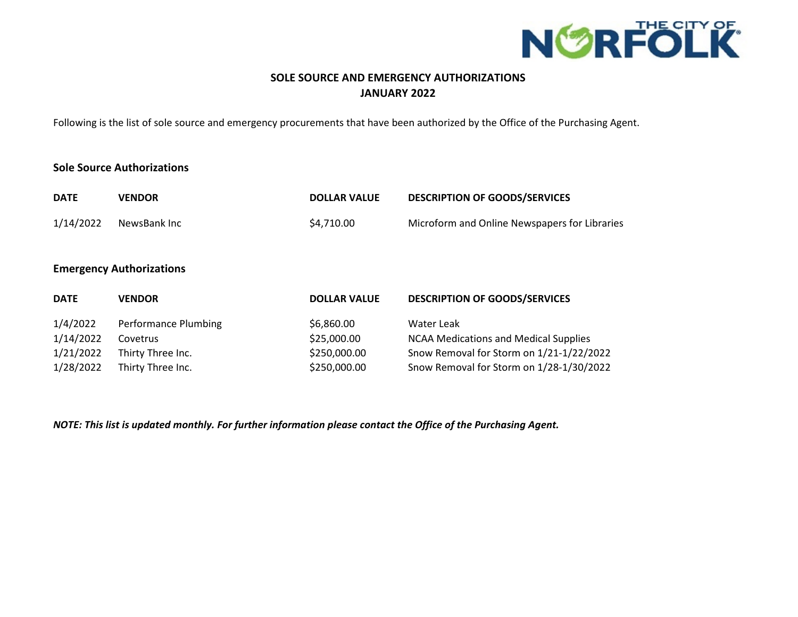

# **SOLE SOURCE AND EMERGENCY AUTHORIZATIONS JANUARY 2022**

Following is the list of sole source and emergency procurements that have been authorized by the Office of the Purchasing Agent.

## **Sole Source Authorizations**

| <b>DATE</b> | <b>VENDOR</b>                   | <b>DOLLAR VALUE</b> | <b>DESCRIPTION OF GOODS/SERVICES</b>          |
|-------------|---------------------------------|---------------------|-----------------------------------------------|
| 1/14/2022   | NewsBank Inc                    | \$4,710.00          | Microform and Online Newspapers for Libraries |
|             |                                 |                     |                                               |
|             | <b>Emergency Authorizations</b> |                     |                                               |
| <b>DATE</b> | <b>VENDOR</b>                   | <b>DOLLAR VALUE</b> | <b>DESCRIPTION OF GOODS/SERVICES</b>          |
| 1/4/2022    | Performance Plumbing            | \$6,860.00          | Water Leak                                    |
| 1/14/2022   | Covetrus                        | \$25,000.00         | <b>NCAA Medications and Medical Supplies</b>  |
| 1/21/2022   | Thirty Three Inc.               | \$250,000.00        | Snow Removal for Storm on 1/21-1/22/2022      |
| 1/28/2022   | Thirty Three Inc.               | \$250,000.00        | Snow Removal for Storm on 1/28-1/30/2022      |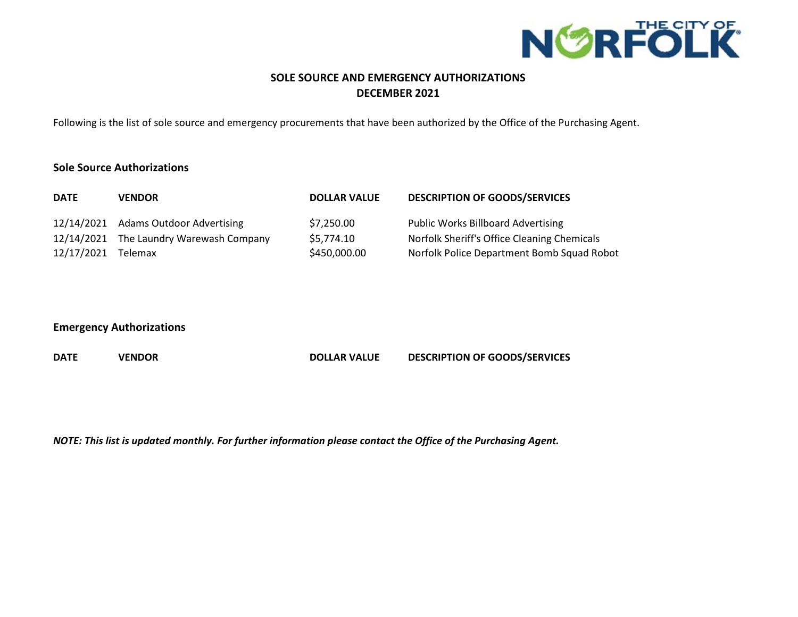

# **SOLE SOURCE AND EMERGENCY AUTHORIZATIONS DECEMBER 2021**

Following is the list of sole source and emergency procurements that have been authorized by the Office of the Purchasing Agent.

#### **Sole Source Authorizations**

| <b>DATE</b> | <b>VENDOR</b>                           | <b>DOLLAR VALUE</b> | <b>DESCRIPTION OF GOODS/SERVICES</b>        |
|-------------|-----------------------------------------|---------------------|---------------------------------------------|
|             | 12/14/2021 Adams Outdoor Advertising    | \$7,250.00          | <b>Public Works Billboard Advertising</b>   |
|             | 12/14/2021 The Laundry Warewash Company | \$5,774.10          | Norfolk Sheriff's Office Cleaning Chemicals |
| 12/17/2021  | <b>Telemax</b>                          | \$450,000.00        | Norfolk Police Department Bomb Squad Robot  |

#### **Emergency Authorizations**

| <b>DATE</b> | <b>VENDOR</b> | <b>DOLLAR VALUE</b> | <b>DESCRIPTION OF GOODS/SERVICES</b> |
|-------------|---------------|---------------------|--------------------------------------|
|             |               |                     |                                      |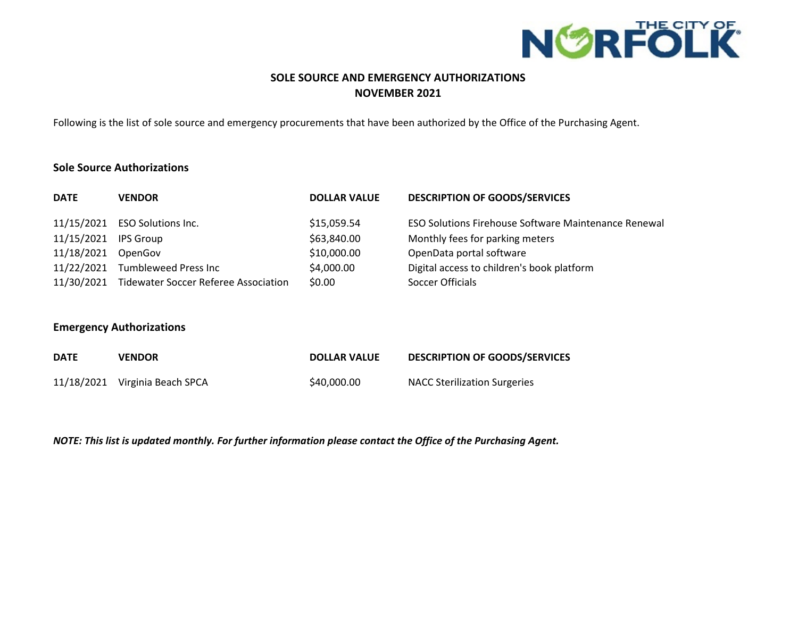

# **SOLE SOURCE AND EMERGENCY AUTHORIZATIONS NOVEMBER 2021**

Following is the list of sole source and emergency procurements that have been authorized by the Office of the Purchasing Agent.

### **Sole Source Authorizations**

| <b>DATE</b> | <b>VENDOR</b>                                   | <b>DOLLAR VALUE</b> | <b>DESCRIPTION OF GOODS/SERVICES</b>                        |
|-------------|-------------------------------------------------|---------------------|-------------------------------------------------------------|
|             | 11/15/2021 ESO Solutions Inc.                   | \$15,059.54         | <b>ESO Solutions Firehouse Software Maintenance Renewal</b> |
| 11/15/2021  | IPS Group                                       | \$63,840.00         | Monthly fees for parking meters                             |
| 11/18/2021  | OpenGov                                         | \$10,000.00         | OpenData portal software                                    |
|             | 11/22/2021 Tumbleweed Press Inc                 | \$4,000.00          | Digital access to children's book platform                  |
|             | 11/30/2021 Tidewater Soccer Referee Association | \$0.00              | Soccer Officials                                            |

### **Emergency Authorizations**

| <b>DATE</b> | VENDOR                         | <b>DOLLAR VALUE</b> | <b>DESCRIPTION OF GOODS/SERVICES</b> |
|-------------|--------------------------------|---------------------|--------------------------------------|
|             | 11/18/2021 Virginia Beach SPCA | \$40,000.00         | <b>NACC Sterilization Surgeries</b>  |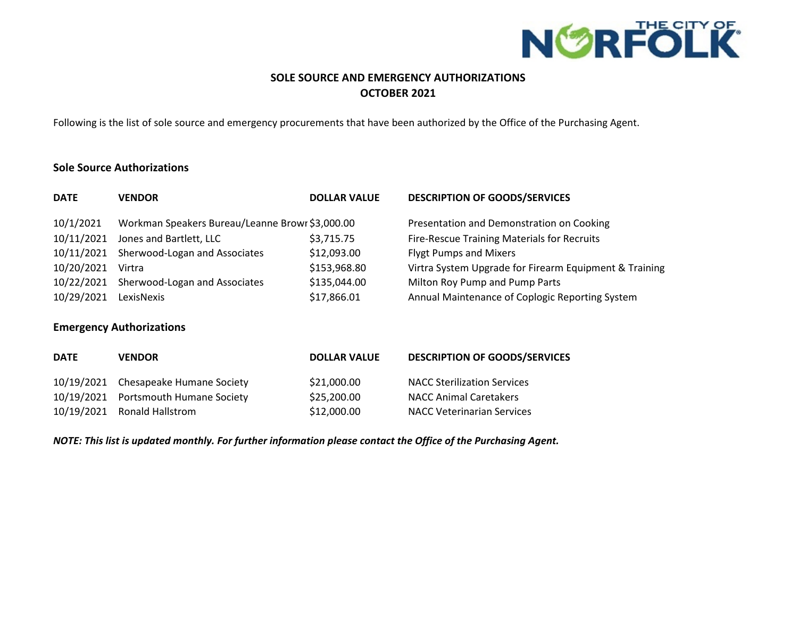

# **SOLE SOURCE AND EMERGENCY AUTHORIZATIONS OCTOBER 2021**

Following is the list of sole source and emergency procurements that have been authorized by the Office of the Purchasing Agent.

### **Sole Source Authorizations**

| <b>DATE</b> | <b>VENDOR</b>                                   | <b>DOLLAR VALUE</b> | <b>DESCRIPTION OF GOODS/SERVICES</b>                   |
|-------------|-------------------------------------------------|---------------------|--------------------------------------------------------|
| 10/1/2021   | Workman Speakers Bureau/Leanne Browr \$3,000.00 |                     | Presentation and Demonstration on Cooking              |
| 10/11/2021  | Jones and Bartlett, LLC                         | \$3,715.75          | Fire-Rescue Training Materials for Recruits            |
| 10/11/2021  | Sherwood-Logan and Associates                   | \$12,093.00         | <b>Flygt Pumps and Mixers</b>                          |
| 10/20/2021  | Virtra                                          | \$153,968.80        | Virtra System Upgrade for Firearm Equipment & Training |
| 10/22/2021  | Sherwood-Logan and Associates                   | \$135,044.00        | Milton Roy Pump and Pump Parts                         |
| 10/29/2021  | LexisNexis                                      | \$17,866.01         | Annual Maintenance of Coplogic Reporting System        |

### **Emergency Authorizations**

| <b>DATE</b> | <b>VENDOR</b>                        | <b>DOLLAR VALUE</b> | <b>DESCRIPTION OF GOODS/SERVICES</b> |
|-------------|--------------------------------------|---------------------|--------------------------------------|
|             | 10/19/2021 Chesapeake Humane Society | \$21,000.00         | <b>NACC Sterilization Services</b>   |
|             | 10/19/2021 Portsmouth Humane Society | \$25,200.00         | <b>NACC Animal Caretakers</b>        |
|             | 10/19/2021 Ronald Hallstrom          | \$12,000.00         | <b>NACC Veterinarian Services</b>    |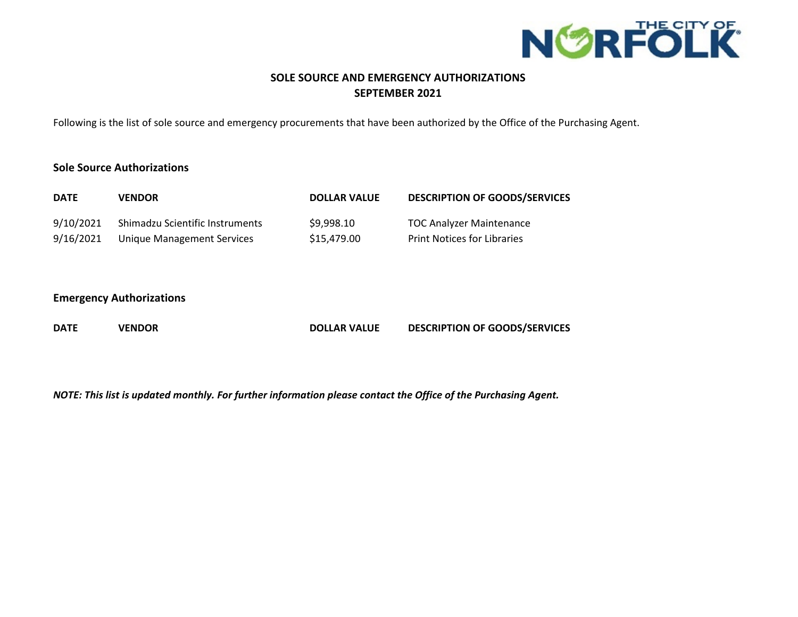

# **SOLE SOURCE AND EMERGENCY AUTHORIZATIONS SEPTEMBER 2021**

Following is the list of sole source and emergency procurements that have been authorized by the Office of the Purchasing Agent.

### **Sole Source Authorizations**

| <b>DATE</b> | <b>VENDOR</b>                   | <b>DOLLAR VALUE</b> | <b>DESCRIPTION OF GOODS/SERVICES</b> |
|-------------|---------------------------------|---------------------|--------------------------------------|
| 9/10/2021   | Shimadzu Scientific Instruments | \$9,998.10          | <b>TOC Analyzer Maintenance</b>      |
| 9/16/2021   | Unique Management Services      | \$15,479.00         | <b>Print Notices for Libraries</b>   |

### **Emergency Authorizations**

| <b>DATE</b> | <b>VENDOR</b> | <b>DOLLAR VALUE</b> | <b>DESCRIPTION OF GOODS/SERVICES</b> |
|-------------|---------------|---------------------|--------------------------------------|
|-------------|---------------|---------------------|--------------------------------------|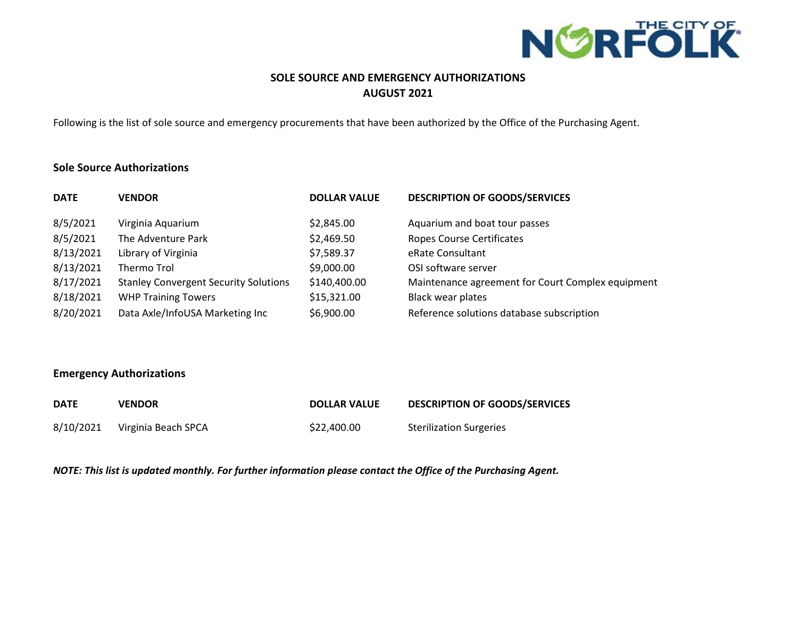

# **SOLE SOURCE AND EMERGENCY AUTHORIZATIONS AUGUST 2021**

Following is the list of sole source and emergency procurements that have been authorized by the Office of the Purchasing Agent.

### **Sole Source Authorizations**

| <b>DATE</b> | <b>VENDOR</b>                                | <b>DOLLAR VALUE</b> | <b>DESCRIPTION OF GOODS/SERVICES</b>              |
|-------------|----------------------------------------------|---------------------|---------------------------------------------------|
| 8/5/2021    | Virginia Aquarium                            | \$2,845.00          | Aquarium and boat tour passes                     |
| 8/5/2021    | The Adventure Park                           | \$2,469.50          | <b>Ropes Course Certificates</b>                  |
| 8/13/2021   | Library of Virginia                          | \$7,589.37          | eRate Consultant                                  |
| 8/13/2021   | Thermo Trol                                  | \$9,000.00          | OSI software server                               |
| 8/17/2021   | <b>Stanley Convergent Security Solutions</b> | \$140,400.00        | Maintenance agreement for Court Complex equipment |
| 8/18/2021   | <b>WHP Training Towers</b>                   | \$15,321.00         | <b>Black wear plates</b>                          |
| 8/20/2021   | Data Axle/InfoUSA Marketing Inc              | \$6,900.00          | Reference solutions database subscription         |

### **Emergency Authorizations**

| <b>DATE</b> | <b>VENDOR</b>       | <b>DOLLAR VALUE</b> | <b>DESCRIPTION OF GOODS/SERVICES</b> |
|-------------|---------------------|---------------------|--------------------------------------|
| 8/10/2021   | Virginia Beach SPCA | \$22,400.00         | <b>Sterilization Surgeries</b>       |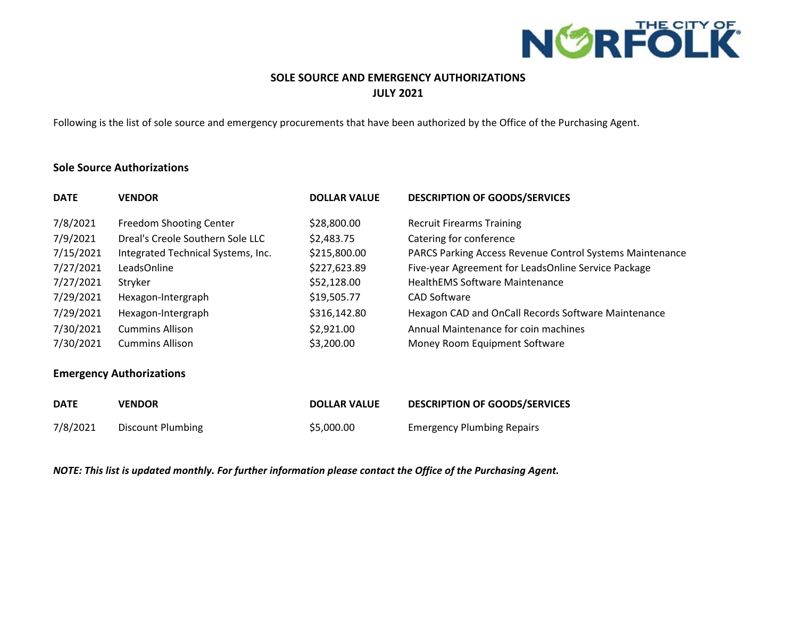

# **SOLE SOURCE AND EMERGENCY AUTHORIZATIONS JULY 2021**

Following is the list of sole source and emergency procurements that have been authorized by the Office of the Purchasing Agent.

#### **Sole Source Authorizations**

| <b>DATE</b>                     | <b>VENDOR</b>                      | <b>DOLLAR VALUE</b> | <b>DESCRIPTION OF GOODS/SERVICES</b>                     |  |  |
|---------------------------------|------------------------------------|---------------------|----------------------------------------------------------|--|--|
| 7/8/2021                        | <b>Freedom Shooting Center</b>     | \$28,800.00         | <b>Recruit Firearms Training</b>                         |  |  |
| 7/9/2021                        | Dreal's Creole Southern Sole LLC   | \$2,483.75          | Catering for conference                                  |  |  |
| 7/15/2021                       | Integrated Technical Systems, Inc. | \$215,800.00        | PARCS Parking Access Revenue Control Systems Maintenance |  |  |
| 7/27/2021                       | LeadsOnline                        | \$227,623.89        | Five-year Agreement for LeadsOnline Service Package      |  |  |
| 7/27/2021                       | Stryker                            | \$52,128.00         | <b>HealthEMS Software Maintenance</b>                    |  |  |
| 7/29/2021                       | Hexagon-Intergraph                 | \$19,505.77         | <b>CAD Software</b>                                      |  |  |
| 7/29/2021                       | Hexagon-Intergraph                 | \$316,142.80        | Hexagon CAD and OnCall Records Software Maintenance      |  |  |
| 7/30/2021                       | <b>Cummins Allison</b>             | \$2,921.00          | Annual Maintenance for coin machines                     |  |  |
| 7/30/2021                       | <b>Cummins Allison</b>             | \$3,200.00          | Money Room Equipment Software                            |  |  |
| <b>Emergency Authorizations</b> |                                    |                     |                                                          |  |  |
| <b>DATE</b>                     | <b>VENDOR</b>                      | <b>DOLLAR VALUE</b> | <b>DESCRIPTION OF GOODS/SERVICES</b>                     |  |  |
| 7/8/2021                        | Discount Plumbing                  | \$5,000.00          | <b>Emergency Plumbing Repairs</b>                        |  |  |